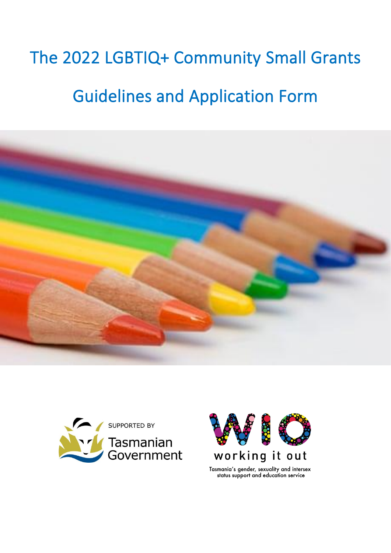# The 2022 LGBTIQ+ Community Small Grants Guidelines and Application Form







status support and education service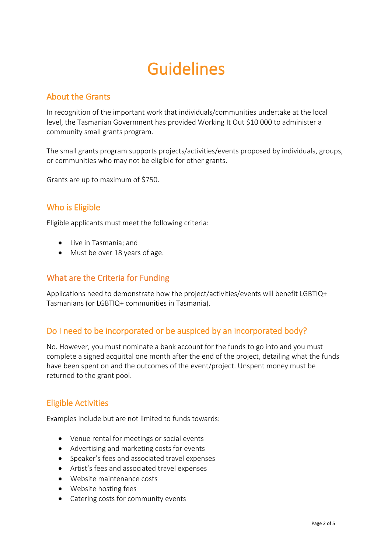## Guidelines

#### About the Grants

In recognition of the important work that individuals/communities undertake at the local level, the Tasmanian Government has provided Working It Out \$10 000 to administer a community small grants program.

The small grants program supports projects/activities/events proposed by individuals, groups, or communities who may not be eligible for other grants.

Grants are up to maximum of \$750.

#### Who is Eligible

Eligible applicants must meet the following criteria:

- Live in Tasmania; and
- Must be over 18 years of age.

#### What are the Criteria for Funding

Applications need to demonstrate how the project/activities/events will benefit LGBTIQ+ Tasmanians (or LGBTIQ+ communities in Tasmania).

#### Do I need to be incorporated or be auspiced by an incorporated body?

No. However, you must nominate a bank account for the funds to go into and you must complete a signed acquittal one month after the end of the project, detailing what the funds have been spent on and the outcomes of the event/project. Unspent money must be returned to the grant pool.

#### Eligible Activities

Examples include but are not limited to funds towards:

- Venue rental for meetings or social events
- Advertising and marketing costs for events
- Speaker's fees and associated travel expenses
- Artist's fees and associated travel expenses
- Website maintenance costs
- Website hosting fees
- Catering costs for community events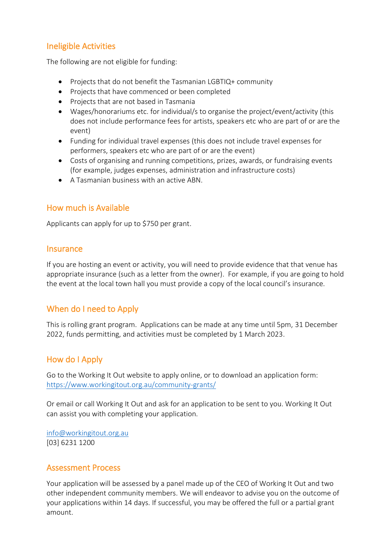#### Ineligible Activities

The following are not eligible for funding:

- Projects that do not benefit the Tasmanian LGBTIQ+ community
- Projects that have commenced or been completed
- Projects that are not based in Tasmania
- Wages/honorariums etc. for individual/s to organise the project/event/activity (this does not include performance fees for artists, speakers etc who are part of or are the event)
- Funding for individual travel expenses (this does not include travel expenses for performers, speakers etc who are part of or are the event)
- Costs of organising and running competitions, prizes, awards, or fundraising events (for example, judges expenses, administration and infrastructure costs)
- A Tasmanian business with an active ABN.

#### How much is Available

Applicants can apply for up to \$750 per grant.

#### **Insurance**

If you are hosting an event or activity, you will need to provide evidence that that venue has appropriate insurance (such as a letter from the owner). For example, if you are going to hold the event at the local town hall you must provide a copy of the local council's insurance.

#### When do I need to Apply

This is rolling grant program. Applications can be made at any time until 5pm, 31 December 2022, funds permitting, and activities must be completed by 1 March 2023.

#### How do I Apply

Go to the Working It Out website to apply online, or to download an application form: <https://www.workingitout.org.au/community-grants/>

Or email or call Working It Out and ask for an application to be sent to you. Working It Out can assist you with completing your application.

[info@workingitout.org.au](mailto:info@workingitout.org.au) [03] 6231 1200

#### Assessment Process

Your application will be assessed by a panel made up of the CEO of Working It Out and two other independent community members. We will endeavor to advise you on the outcome of your applications within 14 days. If successful, you may be offered the full or a partial grant amount.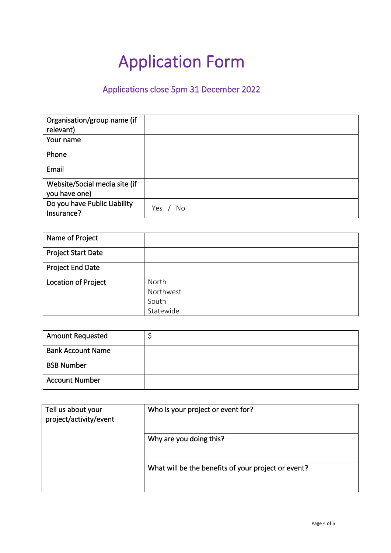# Application Form

### Applications close 5pm 31 December 2022

| Organisation/group name (if<br>relevant) |           |
|------------------------------------------|-----------|
| Your name                                |           |
| Phone                                    |           |
| Email                                    |           |
| Website/Social media site (if            |           |
| you have one)                            |           |
| Do you have Public Liability             | Yes<br>No |
| Insurance?                               |           |

| Name of Project           |           |
|---------------------------|-----------|
| <b>Project Start Date</b> |           |
| Project End Date          |           |
| Location of Project       | North     |
|                           | Northwest |
|                           | South     |
|                           | Statewide |

| <b>Amount Requested</b>  |  |
|--------------------------|--|
| <b>Bank Account Name</b> |  |
| <b>BSB Number</b>        |  |
| <b>Account Number</b>    |  |

| Tell us about your<br>project/activity/event | Who is your project or event for?                   |
|----------------------------------------------|-----------------------------------------------------|
|                                              | Why are you doing this?                             |
|                                              | What will be the benefits of your project or event? |